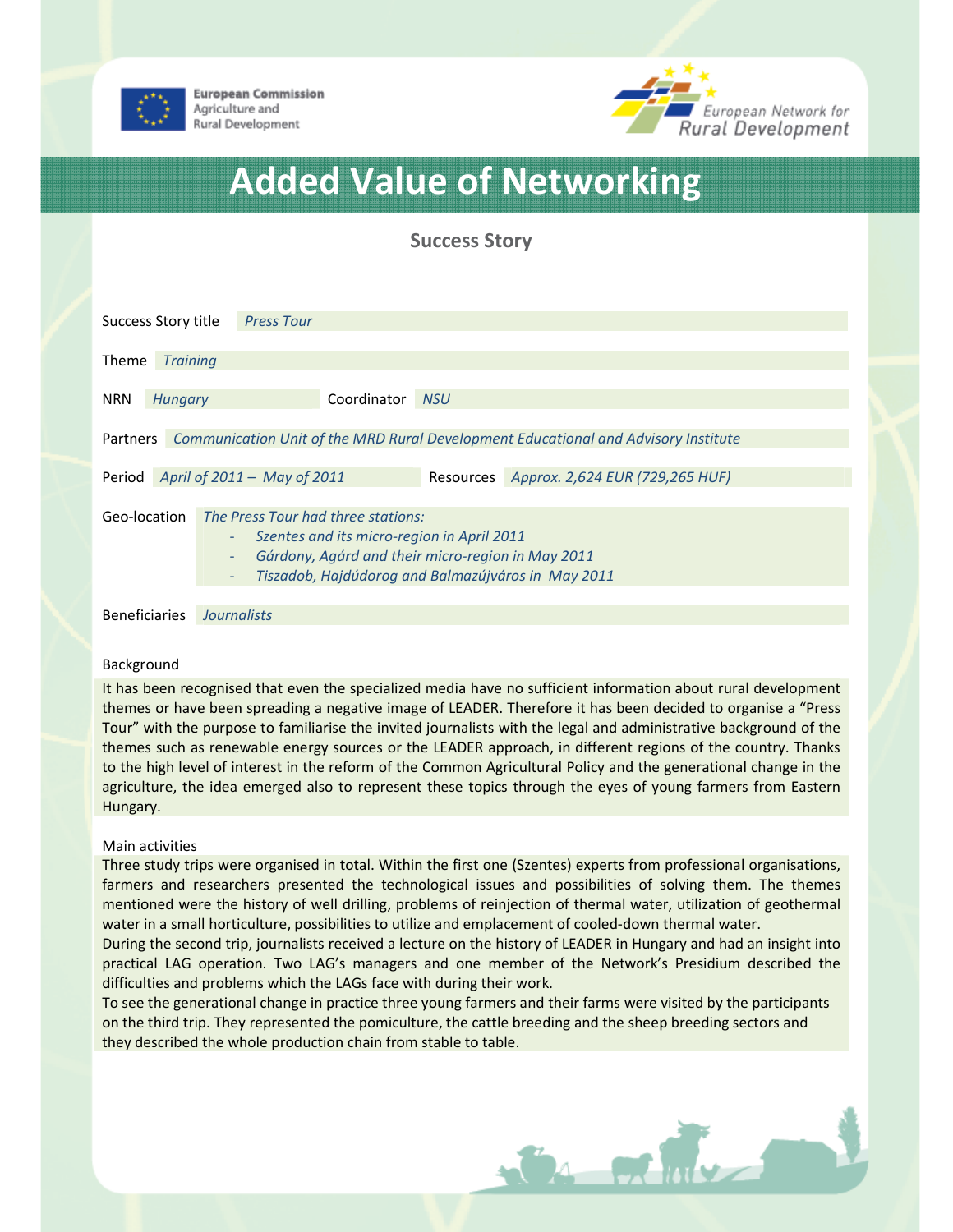

**European Commission** Agriculture and Rural Development



# Added Value of Networking

Success Story

| Success Story title                                                                         |                                    |                                                                                                                                                                                             | <b>Press Tour</b> |             |            |                                           |
|---------------------------------------------------------------------------------------------|------------------------------------|---------------------------------------------------------------------------------------------------------------------------------------------------------------------------------------------|-------------------|-------------|------------|-------------------------------------------|
| <b>Theme</b>                                                                                | <b>Training</b>                    |                                                                                                                                                                                             |                   |             |            |                                           |
| <b>NRN</b>                                                                                  | Hungary                            |                                                                                                                                                                                             |                   | Coordinator | <b>NSU</b> |                                           |
| Partners Communication Unit of the MRD Rural Development Educational and Advisory Institute |                                    |                                                                                                                                                                                             |                   |             |            |                                           |
|                                                                                             | Period April of 2011 - May of 2011 |                                                                                                                                                                                             |                   |             |            | Resources Approx. 2,624 EUR (729,265 HUF) |
| Geo-location                                                                                |                                    | The Press Tour had three stations:<br>Szentes and its micro-region in April 2011<br>Gárdony, Agárd and their micro-region in May 2011<br>Tiszadob, Hajdúdorog and Balmazújváros in May 2011 |                   |             |            |                                           |

Beneficiaries Journalists

## Background

It has been recognised that even the specialized media have no sufficient information about rural development themes or have been spreading a negative image of LEADER. Therefore it has been decided to organise a "Press Tour" with the purpose to familiarise the invited journalists with the legal and administrative background of the themes such as renewable energy sources or the LEADER approach, in different regions of the country. Thanks to the high level of interest in the reform of the Common Agricultural Policy and the generational change in the agriculture, the idea emerged also to represent these topics through the eyes of young farmers from Eastern Hungary.

## Main activities

Three study trips were organised in total. Within the first one (Szentes) experts from professional organisations, farmers and researchers presented the technological issues and possibilities of solving them. The themes mentioned were the history of well drilling, problems of reinjection of thermal water, utilization of geothermal water in a small horticulture, possibilities to utilize and emplacement of cooled-down thermal water.

During the second trip, journalists received a lecture on the history of LEADER in Hungary and had an insight into practical LAG operation. Two LAG's managers and one member of the Network's Presidium described the difficulties and problems which the LAGs face with during their work.

To see the generational change in practice three young farmers and their farms were visited by the participants on the third trip. They represented the pomiculture, the cattle breeding and the sheep breeding sectors and they described the whole production chain from stable to table.